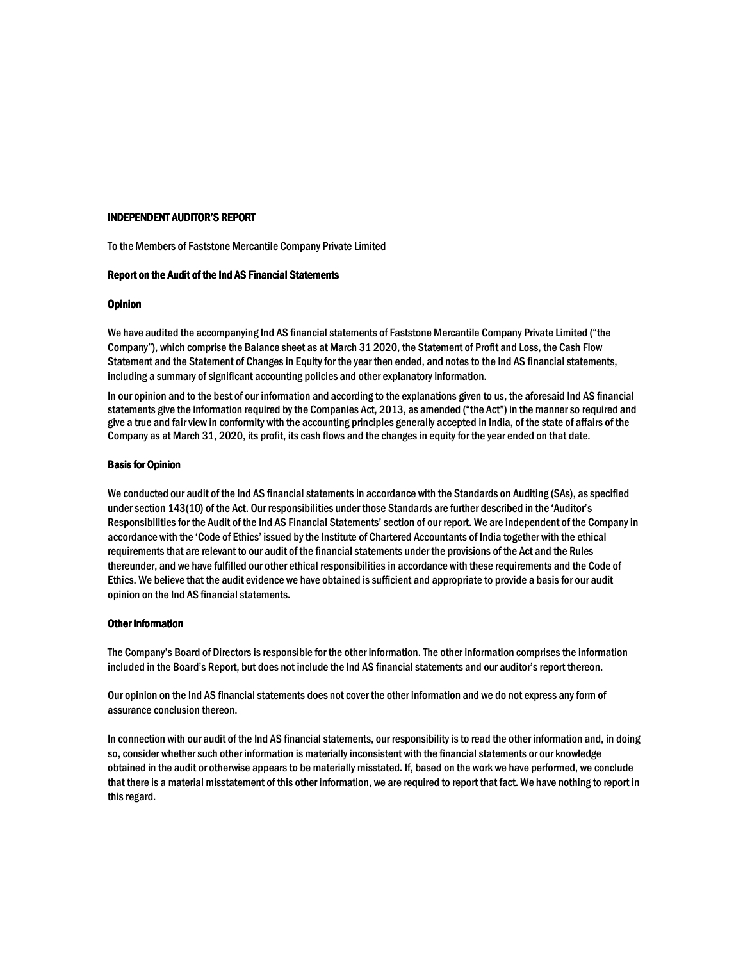# **INDEPENDENT AUDITOR'S REPORT**

To the Members of Faststone Mercantile Company Private Limited

# Report on the Audit of the Ind AS Financial Statements

# **Opinion**

We have audited the accompanying Ind AS financial statements of Faststone Mercantile Company Private Limited ("the Company"), which comprise the Balance sheet as at March 31 2020, the Statement of Profit and Loss, the Cash Flow Statement and the Statement of Changes in Equity for the year then ended, and notes to the Ind AS financial statements, including a summary of significant accounting policies and other explanatory information.

In our opinion and to the best of our information and according to the explanations given to us, the aforesaid Ind AS financial statements give the information required by the Companies Act, 2013, as amended ("the Act") in the manner so required and give a true and fair view in conformity with the accounting principles generally accepted in India, of the state of affairs of the Company as at March 31, 2020, its profit, its cash flows and the changes in equity for the year ended on that date.

# **Basis for Opinion**

We conducted our audit of the Ind AS financial statements in accordance with the Standards on Auditing (SAs), as specified under section 143(10) of the Act. Our responsibilities under those Standards are further described in the 'Auditor's Responsibilities for the Audit of the Ind AS Financial Statements' section of our report. We are independent of the Company in accordance with the 'Code of Ethics' issued by the Institute of Chartered Accountants of India together with the ethical requirements that are relevant to our audit of the financial statements under the provisions of the Act and the Rules thereunder, and we have fulfilled our other ethical responsibilities in accordance with these requirements and the Code of Ethics. We believe that the audit evidence we have obtained is sufficient and appropriate to provide a basis for our audit opinion on the Ind AS financial statements.

# **Other Information**

The Company's Board of Directors is responsible for the other information. The other information comprises the information included in the Board's Report, but does not include the Ind AS financial statements and our auditor's report thereon.

Our opinion on the Ind AS financial statements does not cover the other information and we do not express any form of assurance conclusion thereon.

In connection with our audit of the Ind AS financial statements, our responsibility is to read the other information and, in doing so, consider whether such other information is materially inconsistent with the financial statements or our knowledge obtained in the audit or otherwise appears to be materially misstated. If, based on the work we have performed, we conclude that there is a material misstatement of this other information, we are required to report that fact. We have nothing to report in this regard.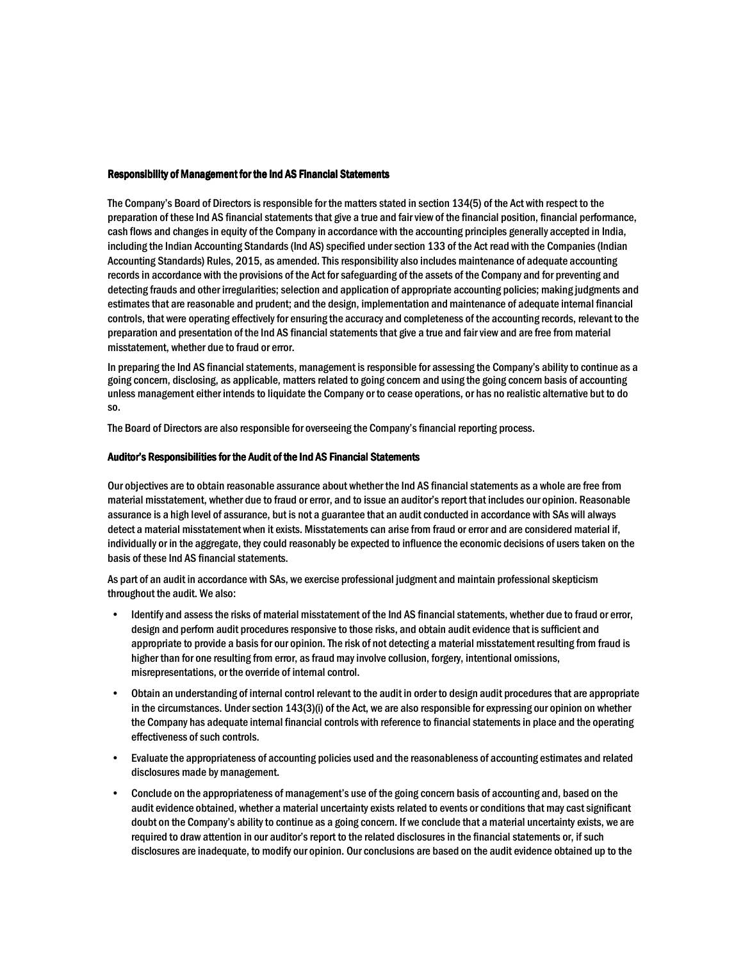# Responsibility of Management for the Ind AS Financial Statements

The Company's Board of Directors is responsible for the matters stated in section 134(5) of the Act with respect to the preparation of these Ind AS financial statements that give a true and fair view of the financial position, financial performance, cash flows and changes in equity of the Company in accordance with the accounting principles generally accepted in India, including the Indian Accounting Standards (Ind AS) specified under section 133 of the Act read with the Companies (Indian Accounting Standards) Rules, 2015, as amended. This responsibility also includes maintenance of adequate accounting records in accordance with the provisions of the Act for safeguarding of the assets of the Company and for preventing and detecting frauds and other irregularities; selection and application of appropriate accounting policies; making judgments and estimates that are reasonable and prudent; and the design, implementation and maintenance of adequate internal financial controls, that were operating effectively for ensuring the accuracy and completeness of the accounting records, relevant to the preparation and presentation of the Ind AS financial statements that give a true and fair view and are free from material misstatement, whether due to fraud or error.

In preparing the Ind AS financial statements, management is responsible for assessing the Company's ability to continue as a going concern, disclosing, as applicable, matters related to going concern and using the going concern basis of accounting unless management either intends to liquidate the Company or to cease operations, or has no realistic alternative but to do  $SO<sub>2</sub>$ 

The Board of Directors are also responsible for overseeing the Company's financial reporting process.

# Auditor's Responsibilities for the Audit of the Ind AS Financial Statements

Our objectives are to obtain reasonable assurance about whether the Ind AS financial statements as a whole are free from material misstatement, whether due to fraud or error, and to issue an auditor's report that includes our opinion. Reasonable assurance is a high level of assurance, but is not a guarantee that an audit conducted in accordance with SAs will always detect a material misstatement when it exists. Misstatements can arise from fraud or error and are considered material if, individually or in the aggregate, they could reasonably be expected to influence the economic decisions of users taken on the basis of these Ind AS financial statements.

As part of an audit in accordance with SAs, we exercise professional judgment and maintain professional skepticism throughout the audit. We also:

- Identify and assess the risks of material misstatement of the Ind AS financial statements, whether due to fraud or error, design and perform audit procedures responsive to those risks, and obtain audit evidence that is sufficient and appropriate to provide a basis for our opinion. The risk of not detecting a material misstatement resulting from fraud is higher than for one resulting from error, as fraud may involve collusion, forgery, intentional omissions, misrepresentations, or the override of internal control.
- Obtain an understanding of internal control relevant to the audit in order to design audit procedures that are appropriate in the circumstances. Under section 143(3)(i) of the Act, we are also responsible for expressing our opinion on whether the Company has adequate internal financial controls with reference to financial statements in place and the operating effectiveness of such controls.
- Evaluate the appropriateness of accounting policies used and the reasonableness of accounting estimates and related disclosures made by management.
- Conclude on the appropriateness of management's use of the going concern basis of accounting and, based on the audit evidence obtained, whether a material uncertainty exists related to events or conditions that may cast significant doubt on the Company's ability to continue as a going concern. If we conclude that a material uncertainty exists, we are required to draw attention in our auditor's report to the related disclosures in the financial statements or, if such disclosures are inadequate, to modify our opinion. Our conclusions are based on the audit evidence obtained up to the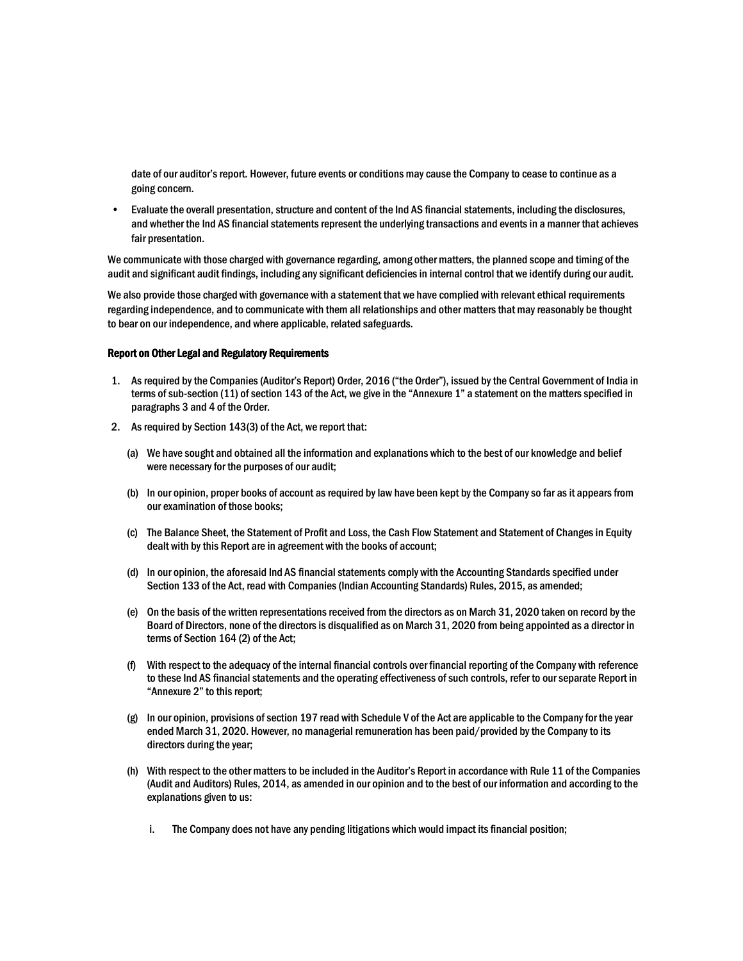date of our auditor's report. However, future events or conditions may cause the Company to cease to continue as a going concern.

 $\bullet$ Evaluate the overall presentation, structure and content of the Ind AS financial statements, including the disclosures, and whether the Ind AS financial statements represent the underlying transactions and events in a manner that achieves fair presentation.

We communicate with those charged with governance regarding, among other matters, the planned scope and timing of the audit and significant audit findings, including any significant deficiencies in internal control that we identify during our audit.

We also provide those charged with governance with a statement that we have complied with relevant ethical requirements regarding independence, and to communicate with them all relationships and other matters that may reasonably be thought to bear on our independence, and where applicable, related safeguards.

# **Report on Other Legal and Regulatory Requirements**

- 1. As required by the Companies (Auditor's Report) Order, 2016 ("the Order"), issued by the Central Government of India in terms of sub-section (11) of section 143 of the Act, we give in the "Annexure 1" a statement on the matters specified in paragraphs 3 and 4 of the Order.
- 2. As required by Section 143(3) of the Act, we report that:
	- (a) We have sought and obtained all the information and explanations which to the best of our knowledge and belief were necessary for the purposes of our audit;
	- (b) In our opinion, proper books of account as required by law have been kept by the Company so far as it appears from our examination of those books;
	- (c) The Balance Sheet, the Statement of Profit and Loss, the Cash Flow Statement and Statement of Changes in Equity dealt with by this Report are in agreement with the books of account;
	- (d) In our opinion, the aforesaid Ind AS financial statements comply with the Accounting Standards specified under Section 133 of the Act, read with Companies (Indian Accounting Standards) Rules, 2015, as amended;
	- (e) On the basis of the written representations received from the directors as on March 31, 2020 taken on record by the Board of Directors, none of the directors is disqualified as on March 31, 2020 from being appointed as a director in terms of Section 164 (2) of the Act;
	- (f) With respect to the adequacy of the internal financial controls over financial reporting of the Company with reference to these Ind AS financial statements and the operating effectiveness of such controls, refer to our separate Report in "Annexure 2" to this report;
	- (g) In our opinion, provisions of section 197 read with Schedule V of the Act are applicable to the Company for the year ended March 31, 2020. However, no managerial remuneration has been paid/provided by the Company to its directors during the year;
	- (h) With respect to the other matters to be included in the Auditor's Report in accordance with Rule 11 of the Companies (Audit and Auditors) Rules, 2014, as amended in our opinion and to the best of our information and according to the explanations given to us:
		- The Company does not have any pending litigations which would impact its financial position; i.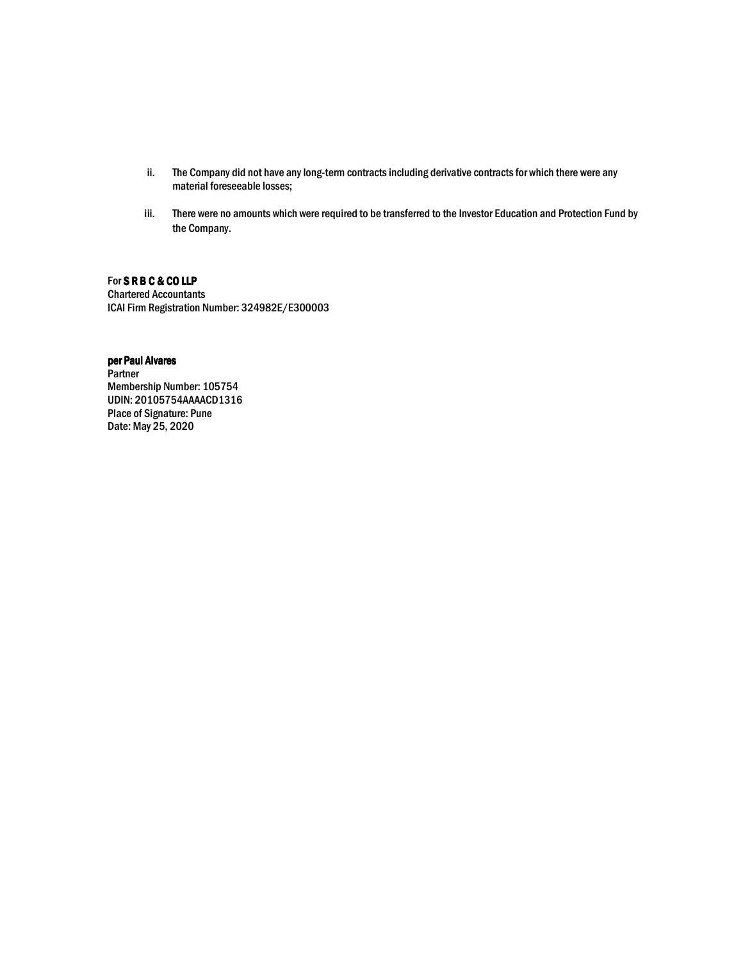- ii. The Company did not have any long-term contracts including derivative contracts for which there were any material foreseeable losses;
- iii. There were no amounts which were required to be transferred to the Investor Education and Protection Fund by the Company.

# For SRBC&COLLP

**Chartered Accountants** ICAI Firm Registration Number: 324982E/E300003

# per Paul Alvares

Partner Membership Number: 105754 UDIN: 20105754AAAACD1316 **Place of Signature: Pune** Date: May 25, 2020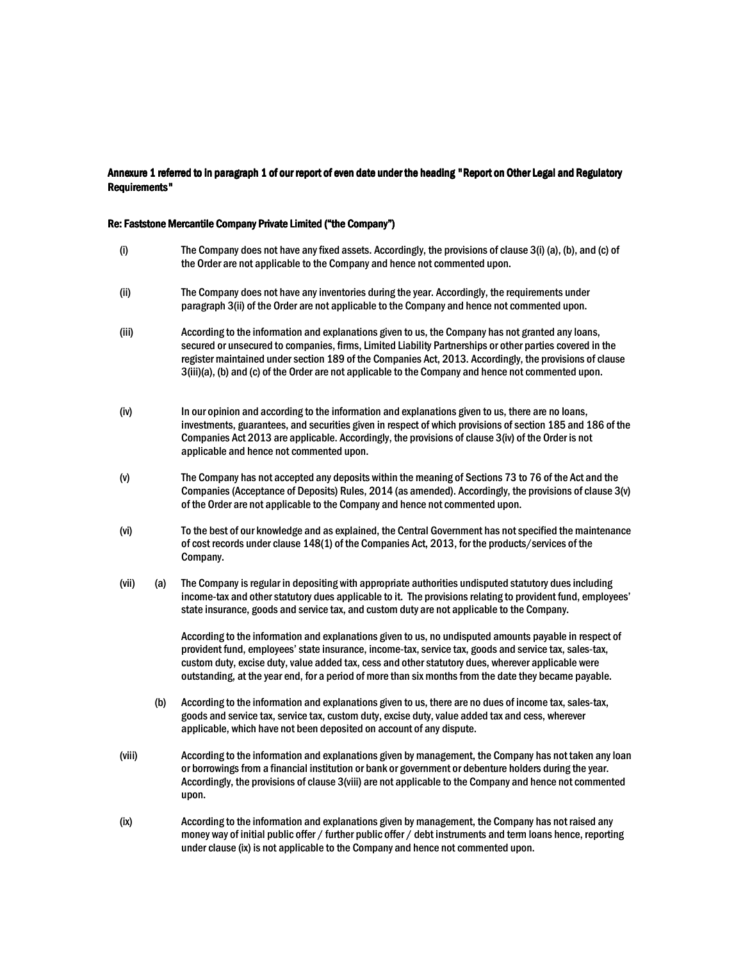# Annexure 1 referred to in paragraph 1 of our report of even date under the heading "Report on Other Legal and Regulatory **Requirements"**

# Re: Faststone Mercantile Company Private Limited ("the Company")

| (i)    |     | The Company does not have any fixed assets. Accordingly, the provisions of clause 3(i) (a), (b), and (c) of<br>the Order are not applicable to the Company and hence not commented upon.                                                                                                                                                                                                                                        |
|--------|-----|---------------------------------------------------------------------------------------------------------------------------------------------------------------------------------------------------------------------------------------------------------------------------------------------------------------------------------------------------------------------------------------------------------------------------------|
| (ii)   |     | The Company does not have any inventories during the year. Accordingly, the requirements under<br>paragraph 3(ii) of the Order are not applicable to the Company and hence not commented upon.                                                                                                                                                                                                                                  |
| (iii)  |     | According to the information and explanations given to us, the Company has not granted any loans,<br>secured or unsecured to companies, firms, Limited Liability Partnerships or other parties covered in the<br>register maintained under section 189 of the Companies Act, 2013. Accordingly, the provisions of clause<br>3(iii)(a), (b) and (c) of the Order are not applicable to the Company and hence not commented upon. |
| (iv)   |     | In our opinion and according to the information and explanations given to us, there are no loans,<br>investments, guarantees, and securities given in respect of which provisions of section 185 and 186 of the<br>Companies Act 2013 are applicable. Accordingly, the provisions of clause 3(iv) of the Order is not<br>applicable and hence not commented upon.                                                               |
| (v)    |     | The Company has not accepted any deposits within the meaning of Sections 73 to 76 of the Act and the<br>Companies (Acceptance of Deposits) Rules, 2014 (as amended). Accordingly, the provisions of clause 3(v)<br>of the Order are not applicable to the Company and hence not commented upon.                                                                                                                                 |
| (vi)   |     | To the best of our knowledge and as explained, the Central Government has not specified the maintenance<br>of cost records under clause 148(1) of the Companies Act, 2013, for the products/services of the<br>Company.                                                                                                                                                                                                         |
| (vii)  | (a) | The Company is regular in depositing with appropriate authorities undisputed statutory dues including<br>income-tax and other statutory dues applicable to it. The provisions relating to provident fund, employees'<br>state insurance, goods and service tax, and custom duty are not applicable to the Company.                                                                                                              |
|        |     | According to the information and explanations given to us, no undisputed amounts payable in respect of<br>provident fund, employees' state insurance, income-tax, service tax, goods and service tax, sales-tax,<br>custom duty, excise duty, value added tax, cess and other statutory dues, wherever applicable were<br>outstanding, at the year end, for a period of more than six months from the date they became payable. |
|        | (b) | According to the information and explanations given to us, there are no dues of income tax, sales-tax,<br>goods and service tax, service tax, custom duty, excise duty, value added tax and cess, wherever<br>applicable, which have not been deposited on account of any dispute.                                                                                                                                              |
| (viii) |     | According to the information and explanations given by management, the Company has not taken any loan<br>or borrowings from a financial institution or bank or government or debenture holders during the year.<br>Accordingly, the provisions of clause 3(viii) are not applicable to the Company and hence not commented<br>upon.                                                                                             |
| (ix)   |     | According to the information and explanations given by management, the Company has not raised any<br>money way of initial public offer / further public offer / debt instruments and term loans hence, reporting<br>under clause (ix) is not applicable to the Company and hence not commented upon.                                                                                                                            |
|        |     |                                                                                                                                                                                                                                                                                                                                                                                                                                 |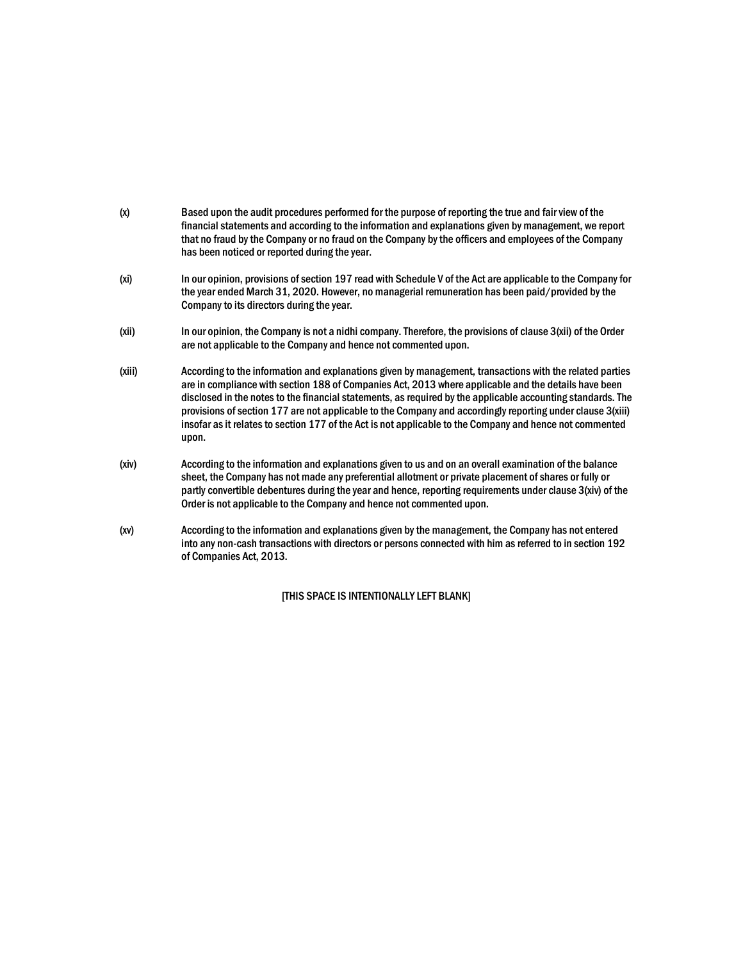| (x) | Based upon the audit procedures performed for the purpose of reporting the true and fair view of the  |
|-----|-------------------------------------------------------------------------------------------------------|
|     | financial statements and according to the information and explanations given by management, we report |
|     | that no fraud by the Company or no fraud on the Company by the officers and employees of the Company  |
|     | has been noticed or reported during the year.                                                         |

- $(x<sub>i</sub>)$ In our opinion, provisions of section 197 read with Schedule V of the Act are applicable to the Company for the year ended March 31, 2020. However, no managerial remuneration has been paid/provided by the Company to its directors during the year.
- (xii) In our opinion, the Company is not a nidhi company. Therefore, the provisions of clause 3(xii) of the Order are not applicable to the Company and hence not commented upon.
- $(xiii)$ According to the information and explanations given by management, transactions with the related parties are in compliance with section 188 of Companies Act. 2013 where applicable and the details have been disclosed in the notes to the financial statements, as required by the applicable accounting standards. The provisions of section 177 are not applicable to the Company and accordingly reporting under clause 3(xiii) insofar as it relates to section 177 of the Act is not applicable to the Company and hence not commented upon.
- According to the information and explanations given to us and on an overall examination of the balance  $(xiv)$ sheet, the Company has not made any preferential allotment or private placement of shares or fully or partly convertible debentures during the year and hence, reporting requirements under clause 3(xiv) of the Order is not applicable to the Company and hence not commented upon.
- $(xv)$ According to the information and explanations given by the management, the Company has not entered into any non-cash transactions with directors or persons connected with him as referred to in section 192 of Companies Act, 2013.

**ITHIS SPACE IS INTENTIONALLY LEFT BLANKI**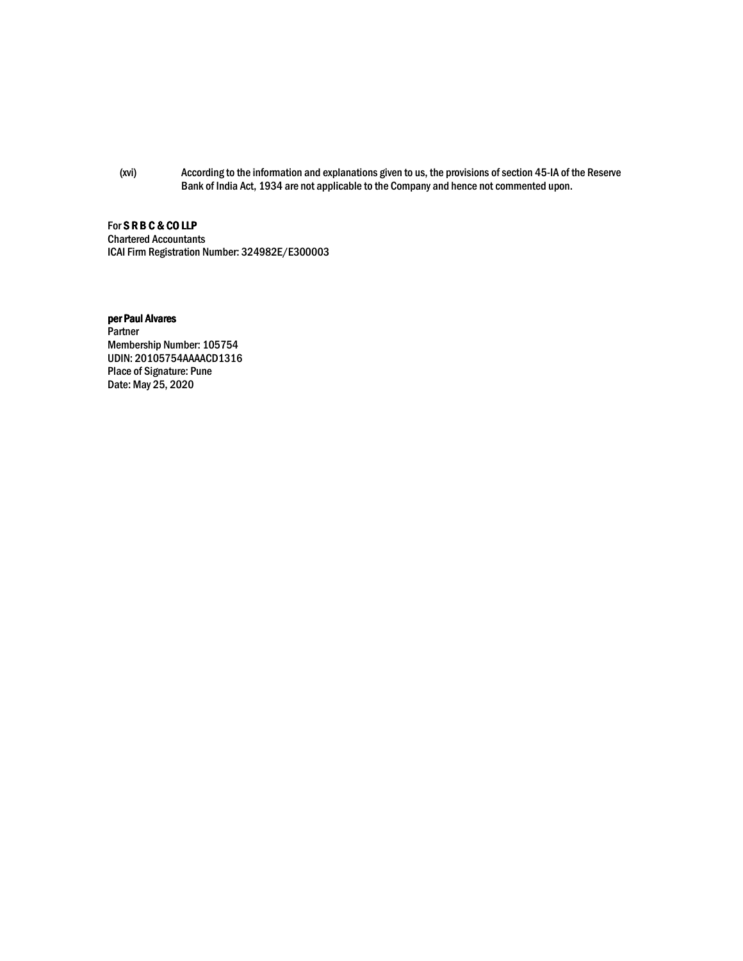(xvi) According to the information and explanations given to us, the provisions of section 45-IA of the Reserve Bank of India Act, 1934 are not applicable to the Company and hence not commented upon.

# For SRBC&COLLP

**Chartered Accountants** ICAI Firm Registration Number: 324982E/E300003

# per Paul Alvares Partner Membership Number: 105754 UDIN: 20105754AAAACD1316 Place of Signature: Pune Date: May 25, 2020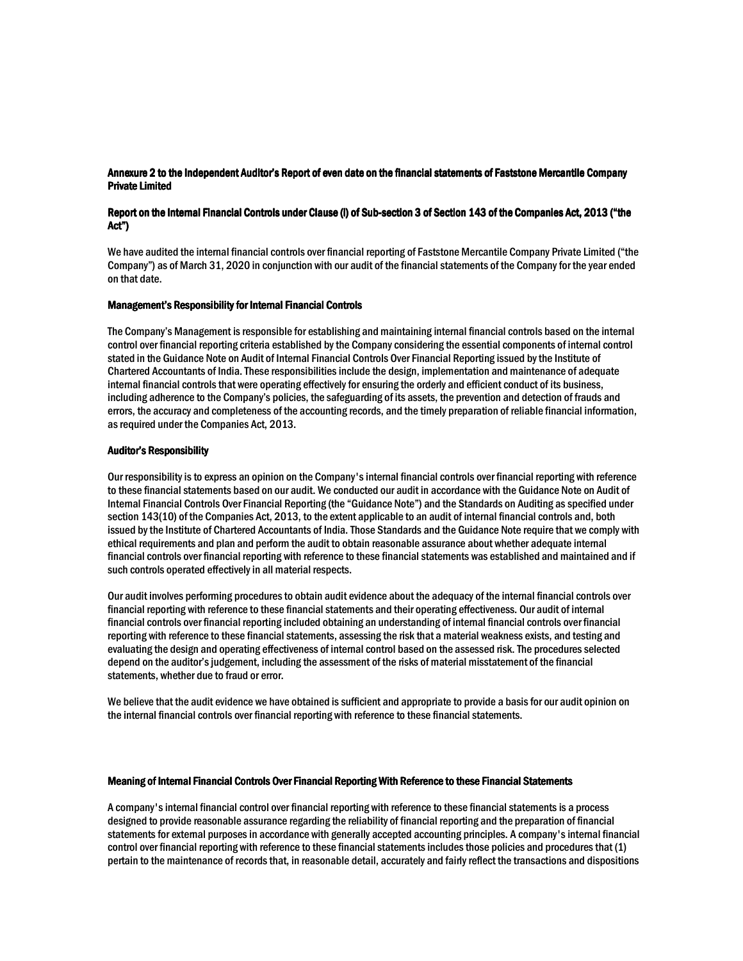# Annexure 2 to the Independent Auditor's Report of even date on the financial statements of Faststone Mercantile Company **Private Limited**

# Report on the Internal Financial Controls under Clause (i) of Sub-section 3 of Section 143 of the Companies Act, 2013 ("the Act")

We have audited the internal financial controls over financial reporting of Faststone Mercantile Company Private Limited ("the Company") as of March 31, 2020 in conjunction with our audit of the financial statements of the Company for the year ended on that date.

# **Management's Responsibility for Internal Financial Controls**

The Company's Management is responsible for establishing and maintaining internal financial controls based on the internal control over financial reporting criteria established by the Company considering the essential components of internal control stated in the Guidance Note on Audit of Internal Financial Controls Over Financial Reporting issued by the Institute of Chartered Accountants of India. These responsibilities include the design, implementation and maintenance of adequate internal financial controls that were operating effectively for ensuring the orderly and efficient conduct of its business. including adherence to the Company's policies, the safeguarding of its assets, the prevention and detection of frauds and errors, the accuracy and completeness of the accounting records, and the timely preparation of reliable financial information, as required under the Companies Act. 2013.

### **Auditor's Responsibility**

Our responsibility is to express an opinion on the Company's internal financial controls over financial reporting with reference to these financial statements based on our audit. We conducted our audit in accordance with the Guidance Note on Audit of Internal Financial Controls Over Financial Reporting (the "Guidance Note") and the Standards on Auditing as specified under section 143(10) of the Companies Act. 2013, to the extent applicable to an audit of internal financial controls and, both issued by the Institute of Chartered Accountants of India. Those Standards and the Guidance Note require that we comply with ethical requirements and plan and perform the audit to obtain reasonable assurance about whether adequate internal financial controls over financial reporting with reference to these financial statements was established and maintained and if such controls operated effectively in all material respects.

Our audit involves performing procedures to obtain audit evidence about the adequacy of the internal financial controls over financial reporting with reference to these financial statements and their operating effectiveness. Our audit of internal financial controls over financial reporting included obtaining an understanding of internal financial controls over financial reporting with reference to these financial statements, assessing the risk that a material weakness exists, and testing and evaluating the design and operating effectiveness of internal control based on the assessed risk. The procedures selected depend on the auditor's judgement, including the assessment of the risks of material misstatement of the financial statements, whether due to fraud or error.

We believe that the audit evidence we have obtained is sufficient and appropriate to provide a basis for our audit opinion on the internal financial controls over financial reporting with reference to these financial statements.

# Meaning of Internal Financial Controls Over Financial Reporting With Reference to these Financial Statements

A company's internal financial control over financial reporting with reference to these financial statements is a process designed to provide reasonable assurance regarding the reliability of financial reporting and the preparation of financial statements for external purposes in accordance with generally accepted accounting principles. A company's internal financial control over financial reporting with reference to these financial statements includes those policies and procedures that (1) pertain to the maintenance of records that, in reasonable detail, accurately and fairly reflect the transactions and dispositions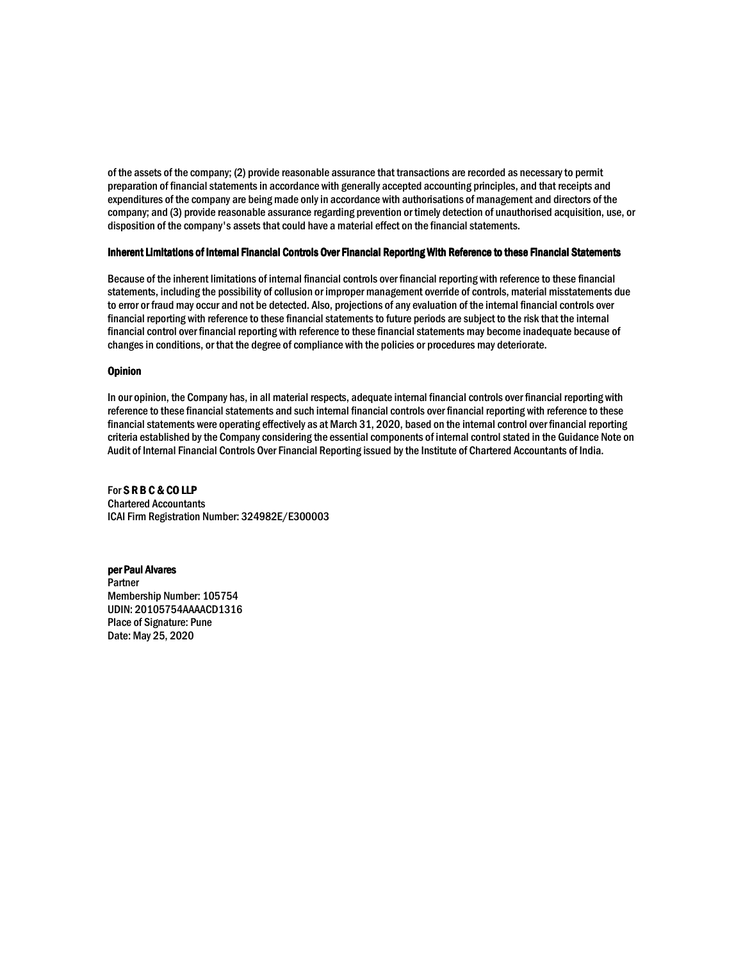of the assets of the company; (2) provide reasonable assurance that transactions are recorded as necessary to permit preparation of financial statements in accordance with generally accepted accounting principles, and that receipts and expenditures of the company are being made only in accordance with authorisations of management and directors of the company; and (3) provide reasonable assurance regarding prevention or timely detection of unauthorised acquisition, use, or disposition of the company's assets that could have a material effect on the financial statements.

# Inherent Limitations of Internal Financial Controls Over Financial Reporting With Reference to these Financial Statements

Because of the inherent limitations of internal financial controls over financial reporting with reference to these financial statements, including the possibility of collusion or improper management override of controls, material misstatements due to error or fraud may occur and not be detected. Also, projections of any evaluation of the internal financial controls over financial reporting with reference to these financial statements to future periods are subject to the risk that the internal financial control over financial reporting with reference to these financial statements may become inadequate because of changes in conditions, or that the degree of compliance with the policies or procedures may deteriorate.

#### **Opinion**

In our opinion, the Company has, in all material respects, adequate internal financial controls over financial reporting with reference to these financial statements and such internal financial controls over financial reporting with reference to these financial statements were operating effectively as at March 31, 2020, based on the internal control over financial reporting criteria established by the Company considering the essential components of internal control stated in the Guidance Note on Audit of Internal Financial Controls Over Financial Reporting issued by the Institute of Chartered Accountants of India.

For SRBC&COLLP **Chartered Accountants** ICAI Firm Registration Number: 324982E/E300003

#### per Paul Alvares

Partner Membership Number: 105754 UDIN: 20105754AAAACD1316 **Place of Signature: Pune** Date: May 25, 2020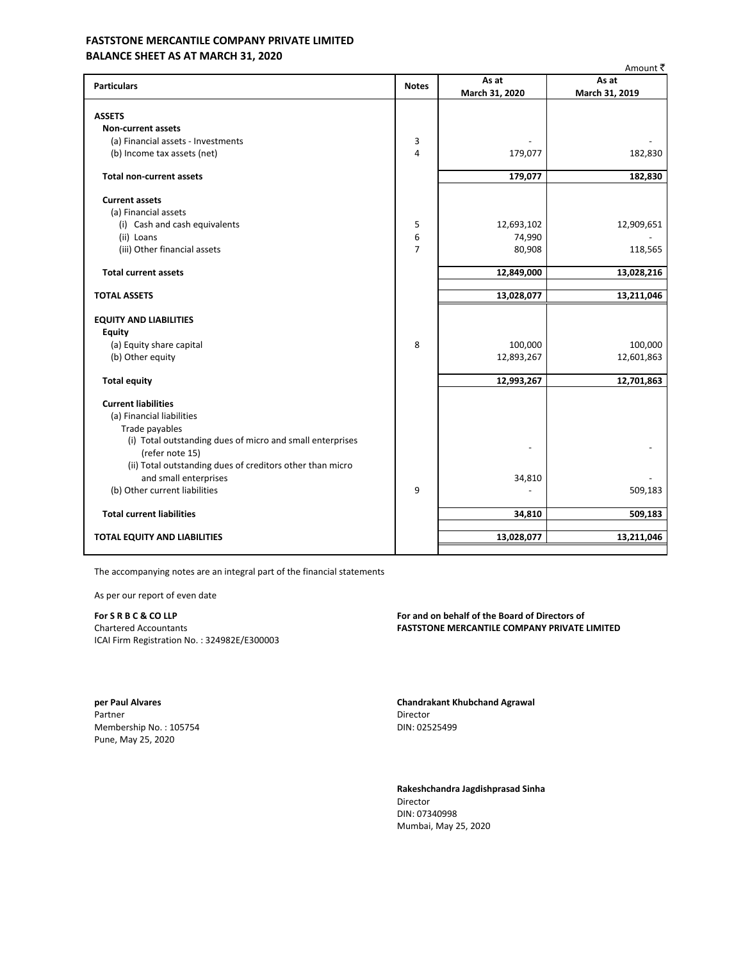# **FASTSTONE MERCANTILE COMPANY PRIVATE LIMITED BALANCE SHEET AS AT MARCH 31, 2020**

|                                                                              |                |                          | Amount ₹       |
|------------------------------------------------------------------------------|----------------|--------------------------|----------------|
| <b>Particulars</b>                                                           | <b>Notes</b>   | As at                    | As at          |
|                                                                              |                | March 31, 2020           | March 31, 2019 |
| <b>ASSETS</b>                                                                |                |                          |                |
| <b>Non-current assets</b>                                                    |                |                          |                |
| (a) Financial assets - Investments                                           | 3              |                          |                |
| (b) Income tax assets (net)                                                  | 4              | 179,077                  | 182,830        |
| <b>Total non-current assets</b>                                              |                | 179,077                  | 182,830        |
| <b>Current assets</b>                                                        |                |                          |                |
| (a) Financial assets                                                         |                |                          |                |
| (i) Cash and cash equivalents                                                | 5              | 12,693,102               | 12,909,651     |
| (ii) Loans                                                                   | 6              | 74,990                   |                |
| (iii) Other financial assets                                                 | $\overline{7}$ | 80,908                   | 118,565        |
| <b>Total current assets</b>                                                  |                | 12,849,000               | 13,028,216     |
| <b>TOTAL ASSETS</b>                                                          |                | 13,028,077               | 13,211,046     |
|                                                                              |                |                          |                |
| <b>EQUITY AND LIABILITIES</b>                                                |                |                          |                |
| <b>Equity</b>                                                                |                |                          |                |
| (a) Equity share capital                                                     | 8              | 100,000                  | 100,000        |
| (b) Other equity                                                             |                | 12,893,267               | 12,601,863     |
| <b>Total equity</b>                                                          |                | $\overline{12}$ ,993,267 | 12,701,863     |
|                                                                              |                |                          |                |
| <b>Current liabilities</b>                                                   |                |                          |                |
| (a) Financial liabilities                                                    |                |                          |                |
| Trade payables                                                               |                |                          |                |
| (i) Total outstanding dues of micro and small enterprises                    |                |                          |                |
| (refer note 15)<br>(ii) Total outstanding dues of creditors other than micro |                |                          |                |
| and small enterprises                                                        |                | 34,810                   |                |
| (b) Other current liabilities                                                | 9              |                          | 509,183        |
|                                                                              |                |                          |                |
| <b>Total current liabilities</b>                                             |                | 34,810                   | 509,183        |
|                                                                              |                |                          |                |
| <b>TOTAL EQUITY AND LIABILITIES</b>                                          |                | 13,028,077               | 13,211,046     |
|                                                                              |                |                          |                |

The accompanying notes are an integral part of the financial statements

As per our report of even date

# For SRBC&COLLP **Chartered Accountants**

ICAI Firm Registration No.: 324982E/E300003

# For and on behalf of the Board of Directors of FASTSTONE MERCANTILE COMPANY PRIVATE LIMITED

per Paul Alvares Partner Membership No.: 105754 Pune, May 25, 2020

**Chandrakant Khubchand Agrawal** Director DIN: 02525499

Rakeshchandra Jagdishprasad Sinha Director DIN: 07340998 Mumbai, May 25, 2020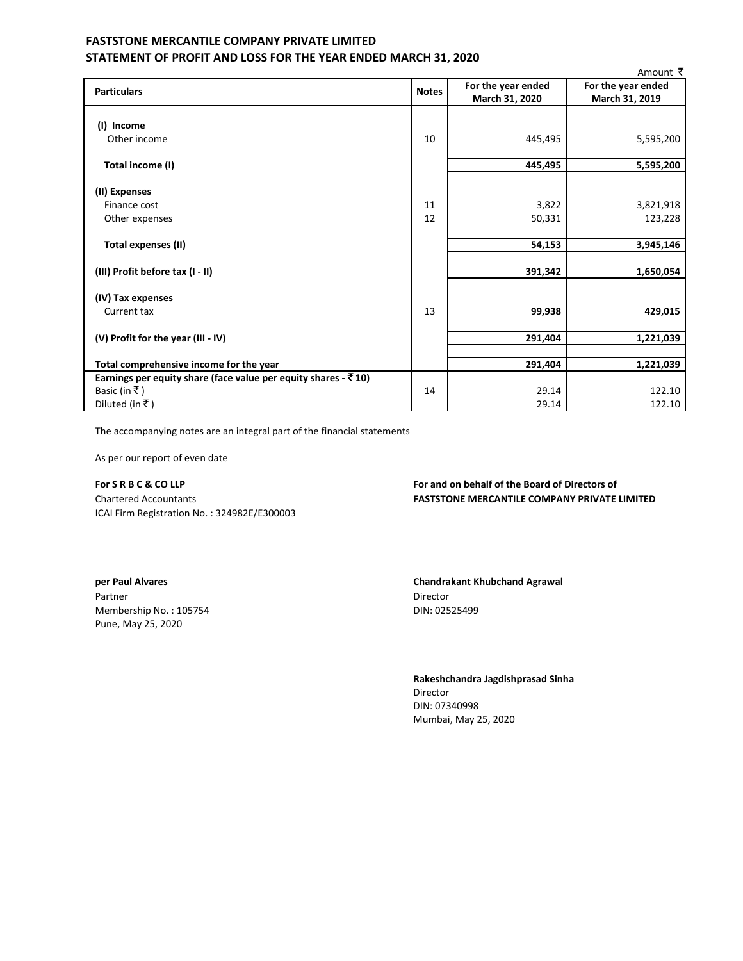# FASTSTONE MERCANTILE COMPANY PRIVATE LIMITED STATEMENT OF PROFIT AND LOSS FOR THE YEAR ENDED MARCH 31, 2020

|                                                                         |              |                    | Amount ₹           |
|-------------------------------------------------------------------------|--------------|--------------------|--------------------|
| <b>Particulars</b>                                                      | <b>Notes</b> | For the year ended | For the year ended |
|                                                                         |              | March 31, 2020     | March 31, 2019     |
|                                                                         |              |                    |                    |
| (I) Income                                                              |              |                    |                    |
| Other income                                                            | 10           | 445,495            | 5,595,200          |
|                                                                         |              |                    |                    |
| Total income (I)                                                        |              | 445,495            | 5,595,200          |
| (II) Expenses                                                           |              |                    |                    |
| Finance cost                                                            | 11           | 3,822              | 3,821,918          |
| Other expenses                                                          | 12           | 50,331             | 123,228            |
|                                                                         |              |                    |                    |
| Total expenses (II)                                                     |              | 54,153             | 3,945,146          |
|                                                                         |              |                    |                    |
| (III) Profit before tax (I - II)                                        |              | 391,342            | 1,650,054          |
| (IV) Tax expenses                                                       |              |                    |                    |
| Current tax                                                             | 13           | 99,938             | 429,015            |
|                                                                         |              |                    |                    |
| (V) Profit for the year (III - IV)                                      |              | 291,404            | 1,221,039          |
|                                                                         |              |                    |                    |
| Total comprehensive income for the year                                 |              | 291,404            | 1,221,039          |
| Earnings per equity share (face value per equity shares - $\bar{z}$ 10) |              |                    |                    |
| Basic (in ₹)                                                            | 14           | 29.14              | 122.10             |
| Diluted (in ₹)                                                          |              | 29.14              | 122.10             |

The accompanying notes are an integral part of the financial statements

As per our report of even date

For SRBC&COLLP

**Chartered Accountants** ICAI Firm Registration No.: 324982E/E300003 For and on behalf of the Board of Directors of **FASTSTONE MERCANTILE COMPANY PRIVATE LIMITED** 

per Paul Alvares Partner Membership No.: 105754 Pune, May 25, 2020

**Chandrakant Khubchand Agrawal** Director DIN: 02525499

Rakeshchandra Jagdishprasad Sinha Director DIN: 07340998 Mumbai, May 25, 2020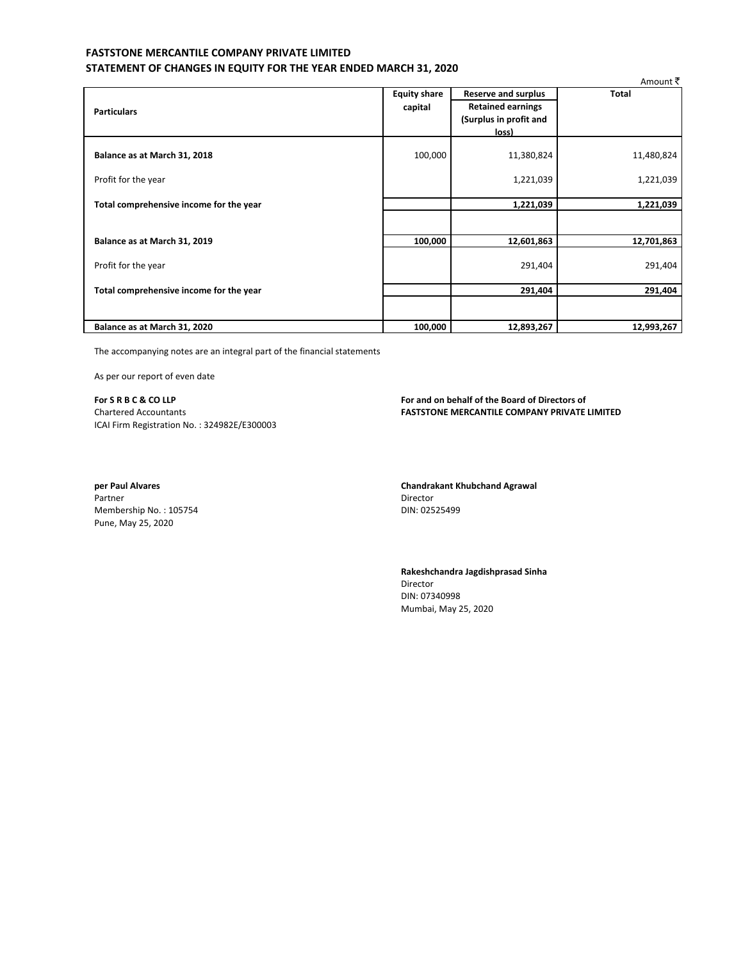# **FASTSTONE MERCANTILE COMPANY PRIVATE LIMITED** STATEMENT OF CHANGES IN EQUITY FOR THE YEAR ENDED MARCH 31, 2020

|                                         |                                |                                                                                           | Amount ₹   |
|-----------------------------------------|--------------------------------|-------------------------------------------------------------------------------------------|------------|
| <b>Particulars</b>                      | <b>Equity share</b><br>capital | <b>Reserve and surplus</b><br><b>Retained earnings</b><br>(Surplus in profit and<br>loss) | Total      |
| Balance as at March 31, 2018            | 100,000                        | 11,380,824                                                                                | 11,480,824 |
| Profit for the year                     |                                | 1,221,039                                                                                 | 1,221,039  |
| Total comprehensive income for the year |                                | 1,221,039                                                                                 | 1,221,039  |
|                                         | 100,000                        |                                                                                           |            |
| Balance as at March 31, 2019            |                                | 12,601,863                                                                                | 12,701,863 |
| Profit for the year                     |                                | 291,404                                                                                   | 291,404    |
| Total comprehensive income for the year |                                | 291,404                                                                                   | 291,404    |
|                                         |                                |                                                                                           |            |
| Balance as at March 31, 2020            | 100,000                        | 12,893,267                                                                                | 12,993,267 |

The accompanying notes are an integral part of the financial statements

As per our report of even date

For S R B C & CO LLP **Chartered Accountants** ICAI Firm Registration No.: 324982E/E300003 For and on behalf of the Board of Directors of **FASTSTONE MERCANTILE COMPANY PRIVATE LIMITED** 

per Paul Alvares Partner Membership No.: 105754 Pune, May 25, 2020

**Chandrakant Khubchand Agrawal** Director DIN: 02525499

Rakeshchandra Jagdishprasad Sinha Director

DIN: 07340998 Mumbai, May 25, 2020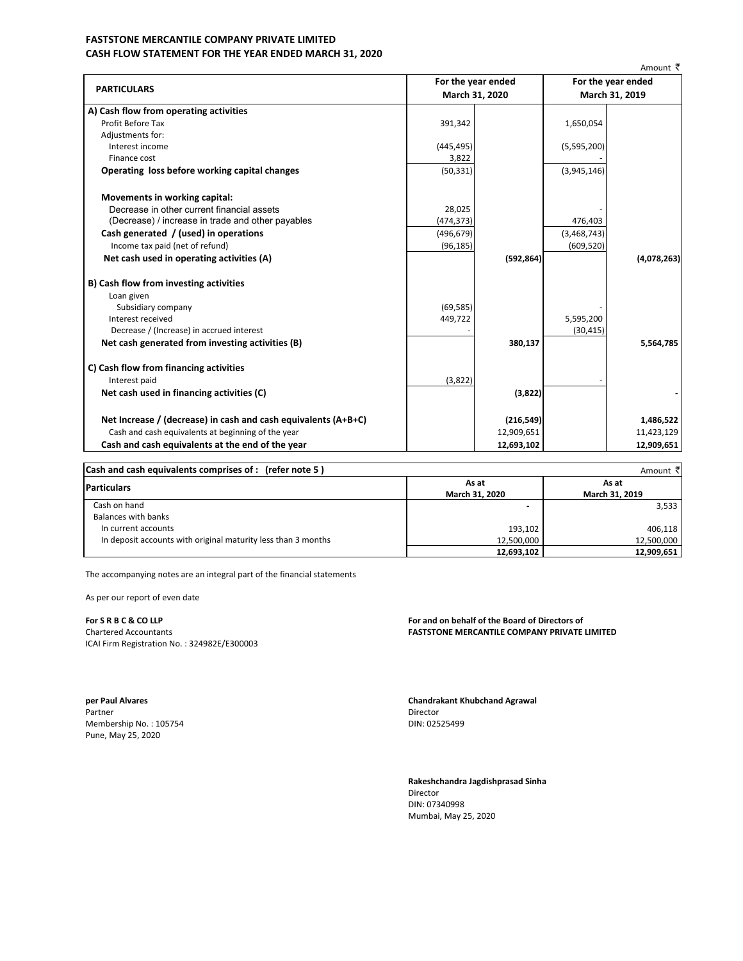# **FASTSTONE MERCANTILE COMPANY PRIVATE LIMITED** CASH FLOW STATEMENT FOR THE YEAR ENDED MARCH 31, 2020

|                                                                |                    |                |                    | Amount ₹       |
|----------------------------------------------------------------|--------------------|----------------|--------------------|----------------|
|                                                                | For the year ended |                | For the year ended |                |
| <b>PARTICULARS</b>                                             |                    | March 31, 2020 |                    | March 31, 2019 |
| A) Cash flow from operating activities                         |                    |                |                    |                |
| Profit Before Tax                                              | 391,342            |                | 1,650,054          |                |
| Adjustments for:                                               |                    |                |                    |                |
| Interest income                                                | (445, 495)         |                | (5,595,200)        |                |
| Finance cost                                                   | 3,822              |                |                    |                |
| Operating loss before working capital changes                  | (50, 331)          |                | (3,945,146)        |                |
| Movements in working capital:                                  |                    |                |                    |                |
| Decrease in other current financial assets                     | 28,025             |                |                    |                |
| (Decrease) / increase in trade and other payables              | (474, 373)         |                | 476,403            |                |
| Cash generated / (used) in operations                          | (496, 679)         |                | (3,468,743)        |                |
| Income tax paid (net of refund)                                | (96, 185)          |                | (609, 520)         |                |
| Net cash used in operating activities (A)                      |                    | (592, 864)     |                    | (4,078,263)    |
| B) Cash flow from investing activities                         |                    |                |                    |                |
| Loan given                                                     |                    |                |                    |                |
| Subsidiary company                                             | (69, 585)          |                |                    |                |
| Interest received                                              | 449,722            |                | 5,595,200          |                |
| Decrease / (Increase) in accrued interest                      |                    |                | (30, 415)          |                |
| Net cash generated from investing activities (B)               |                    | 380,137        |                    | 5,564,785      |
| C) Cash flow from financing activities                         |                    |                |                    |                |
| Interest paid                                                  | (3,822)            |                |                    |                |
| Net cash used in financing activities (C)                      |                    | (3,822)        |                    |                |
| Net Increase / (decrease) in cash and cash equivalents (A+B+C) |                    | (216, 549)     |                    | 1,486,522      |
| Cash and cash equivalents at beginning of the year             |                    | 12,909,651     |                    | 11,423,129     |
| Cash and cash equivalents at the end of the year               |                    | 12,693,102     |                    | 12,909,651     |

| Cash and cash equivalents comprises of : (refer note 5)<br>Amount ₹ |                |                |  |
|---------------------------------------------------------------------|----------------|----------------|--|
| <b>Particulars</b>                                                  | As at          | As at          |  |
|                                                                     | March 31, 2020 | March 31, 2019 |  |
| Cash on hand                                                        | -              | 3,533          |  |
| Balances with banks                                                 |                |                |  |
| In current accounts                                                 | 193.102        | 406,118        |  |
| In deposit accounts with original maturity less than 3 months       | 12,500,000     | 12,500,000     |  |
|                                                                     | 12,693,102     | 12,909,651     |  |

The accompanying notes are an integral part of the financial statements

As per our report of even date

# For S R B C & CO LLP

**Chartered Accountants** ICAI Firm Registration No.: 324982E/E300003

per Paul Alvares Partner Membership No.: 105754 Pune, May 25, 2020

For and on behalf of the Board of Directors of **FASTSTONE MERCANTILE COMPANY PRIVATE LIMITED** 

**Chandrakant Khubchand Agrawal** Director DIN: 02525499

Rakeshchandra Jagdishprasad Sinha Director DIN: 07340998

Mumbai, May 25, 2020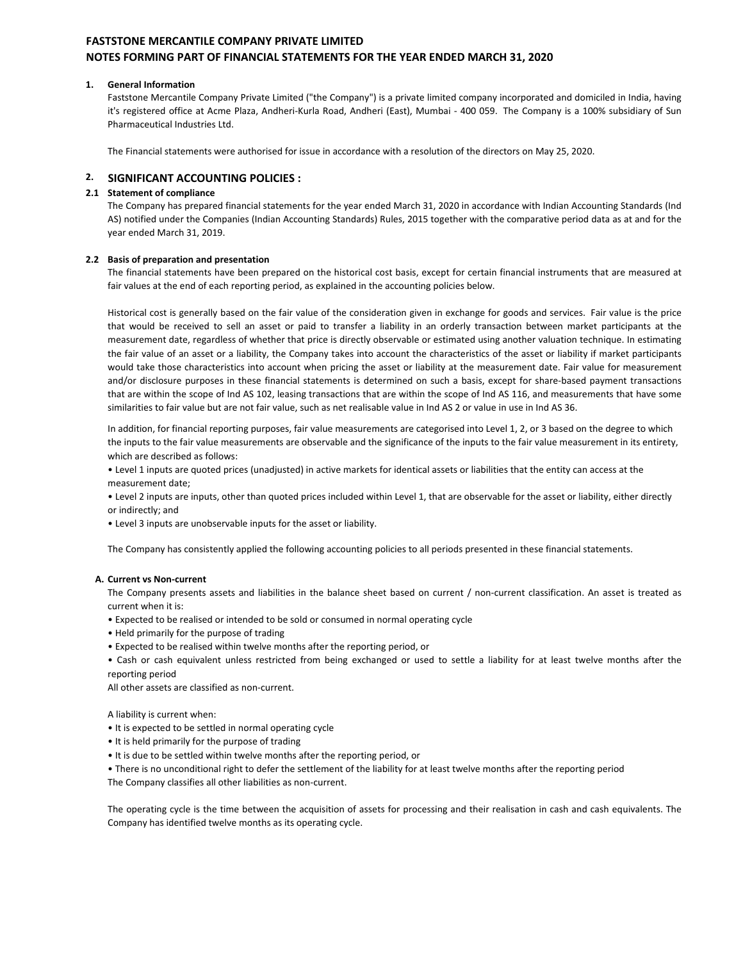# 1. General Information

Faststone Mercantile Company Private Limited ("the Company") is a private limited company incorporated and domiciled in India, having it's registered office at Acme Plaza, Andheri-Kurla Road, Andheri (East), Mumbai - 400 059. The Company is a 100% subsidiary of Sun Pharmaceutical Industries Ltd.

The Financial statements were authorised for issue in accordance with a resolution of the directors on May 25, 2020.

# 2. SIGNIFICANT ACCOUNTING POLICIES :

### 2.1 Statement of compliance

The Company has prepared financial statements for the year ended March 31, 2020 in accordance with Indian Accounting Standards (Ind AS) notified under the Companies (Indian Accounting Standards) Rules, 2015 together with the comparative period data as at and for the year ended March 31, 2019.

### 2.2 Basis of preparation and presentation

The financial statements have been prepared on the historical cost basis, except for certain financial instruments that are measured at fair values at the end of each reporting period, as explained in the accounting policies below.

Historical cost is generally based on the fair value of the consideration given in exchange for goods and services. Fair value is the price that would be received to sell an asset or paid to transfer a liability in an orderly transaction between market participants at the measurement date, regardless of whether that price is directly observable or estimated using another valuation technique. In estimating the fair value of an asset or a liability, the Company takes into account the characteristics of the asset or liability if market participants would take those characteristics into account when pricing the asset or liability at the measurement date. Fair value for measurement and/or disclosure purposes in these financial statements is determined on such a basis, except for share-based payment transactions that are within the scope of Ind AS 102, leasing transactions that are within the scope of Ind AS 116, and measurements that have some similarities to fair value but are not fair value, such as net realisable value in Ind AS 2 or value in use in Ind AS 36.

In addition, for financial reporting purposes, fair value measurements are categorised into Level 1, 2, or 3 based on the degree to which the inputs to the fair value measurements are observable and the significance of the inputs to the fair value measurement in its entirety, which are described as follows:

• Level 1 inputs are quoted prices (unadjusted) in active markets for identical assets or liabilities that the entity can access at the measurement date;

. Level 2 inputs are inputs, other than quoted prices included within Level 1, that are observable for the asset or liability, either directly or indirectly; and

• Level 3 inputs are unobservable inputs for the asset or liability.

The Company has consistently applied the following accounting policies to all periods presented in these financial statements.

# A. Current vs Non-current

The Company presents assets and liabilities in the balance sheet based on current / non-current classification. An asset is treated as current when it is:

- Expected to be realised or intended to be sold or consumed in normal operating cycle
- . Held primarily for the purpose of trading
- Expected to be realised within twelve months after the reporting period, or
- Cash or cash equivalent unless restricted from being exchanged or used to settle a liability for at least twelve months after the reporting period

All other assets are classified as non-current.

A liability is current when:

- It is expected to be settled in normal operating cycle
- It is held primarily for the purpose of trading
- . It is due to be settled within twelve months after the reporting period, or
- . There is no unconditional right to defer the settlement of the liability for at least twelve months after the reporting period

The Company classifies all other liabilities as non-current.

The operating cycle is the time between the acquisition of assets for processing and their realisation in cash and cash equivalents. The Company has identified twelve months as its operating cycle.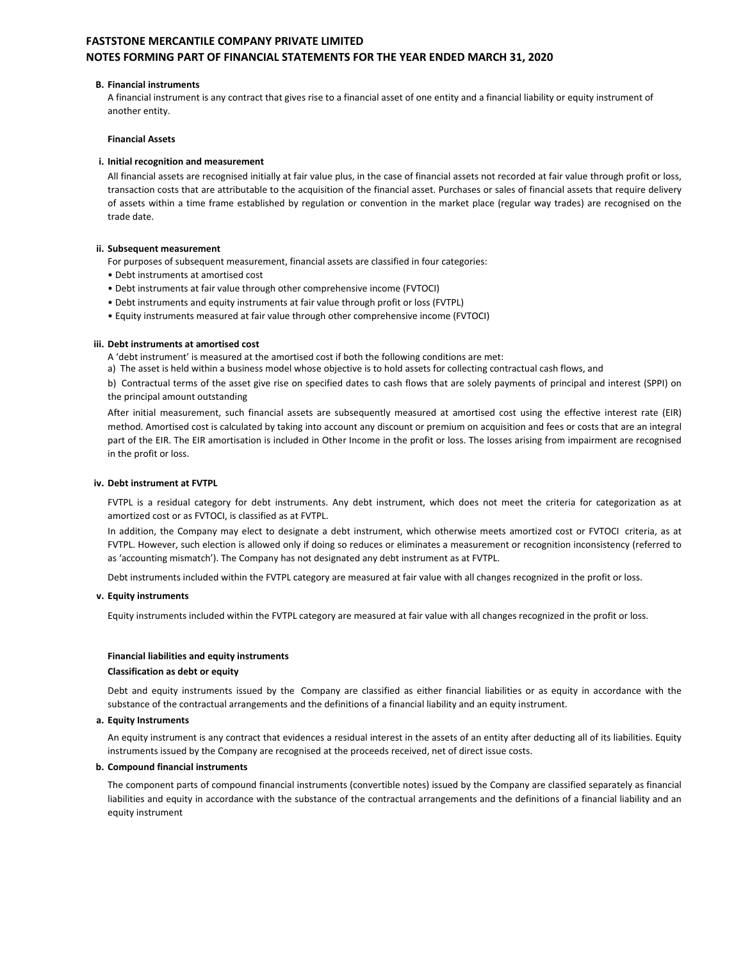### **B. Financial instruments**

A financial instrument is any contract that gives rise to a financial asset of one entity and a financial liability or equity instrument of another entity.

# **Financial Assets**

#### i. Initial recognition and measurement

All financial assets are recognised initially at fair value plus, in the case of financial assets not recorded at fair value through profit or loss, transaction costs that are attributable to the acquisition of the financial asset. Purchases or sales of financial assets that require delivery of assets within a time frame established by regulation or convention in the market place (regular way trades) are recognised on the trade date.

#### ii. Subsequent measurement

For purposes of subsequent measurement, financial assets are classified in four categories:

- Debt instruments at amortised cost
- Debt instruments at fair value through other comprehensive income (FVTOCI)
- . Debt instruments and equity instruments at fair value through profit or loss (FVTPL)
- Equity instruments measured at fair value through other comprehensive income (FVTOCI)

### iii. Debt instruments at amortised cost

A 'debt instrument' is measured at the amortised cost if both the following conditions are met:

a) The asset is held within a business model whose objective is to hold assets for collecting contractual cash flows, and

b) Contractual terms of the asset give rise on specified dates to cash flows that are solely payments of principal and interest (SPPI) on the principal amount outstanding

After initial measurement, such financial assets are subsequently measured at amortised cost using the effective interest rate (EIR) method. Amortised cost is calculated by taking into account any discount or premium on acquisition and fees or costs that are an integral part of the EIR. The EIR amortisation is included in Other Income in the profit or loss. The losses arising from impairment are recognised in the profit or loss.

# iv. Debt instrument at FVTPL

FVTPL is a residual category for debt instruments. Any debt instrument, which does not meet the criteria for categorization as at amortized cost or as FVTOCI, is classified as at FVTPL.

In addition, the Company may elect to designate a debt instrument, which otherwise meets amortized cost or FVTOCI criteria, as at FVTPL. However, such election is allowed only if doing so reduces or eliminates a measurement or recognition inconsistency (referred to as 'accounting mismatch'). The Company has not designated any debt instrument as at FVTPL.

Debt instruments included within the FVTPL category are measured at fair value with all changes recognized in the profit or loss.

#### v. Equity instruments

Equity instruments included within the FVTPL category are measured at fair value with all changes recognized in the profit or loss.

### **Financial liabilities and equity instruments**

#### **Classification as debt or equity**

Debt and equity instruments issued by the Company are classified as either financial liabilities or as equity in accordance with the substance of the contractual arrangements and the definitions of a financial liability and an equity instrument.

#### a. Equity Instruments

An equity instrument is any contract that evidences a residual interest in the assets of an entity after deducting all of its liabilities. Equity instruments issued by the Company are recognised at the proceeds received, net of direct issue costs.

### b. Compound financial instruments

The component parts of compound financial instruments (convertible notes) issued by the Company are classified separately as financial liabilities and equity in accordance with the substance of the contractual arrangements and the definitions of a financial liability and an equity instrument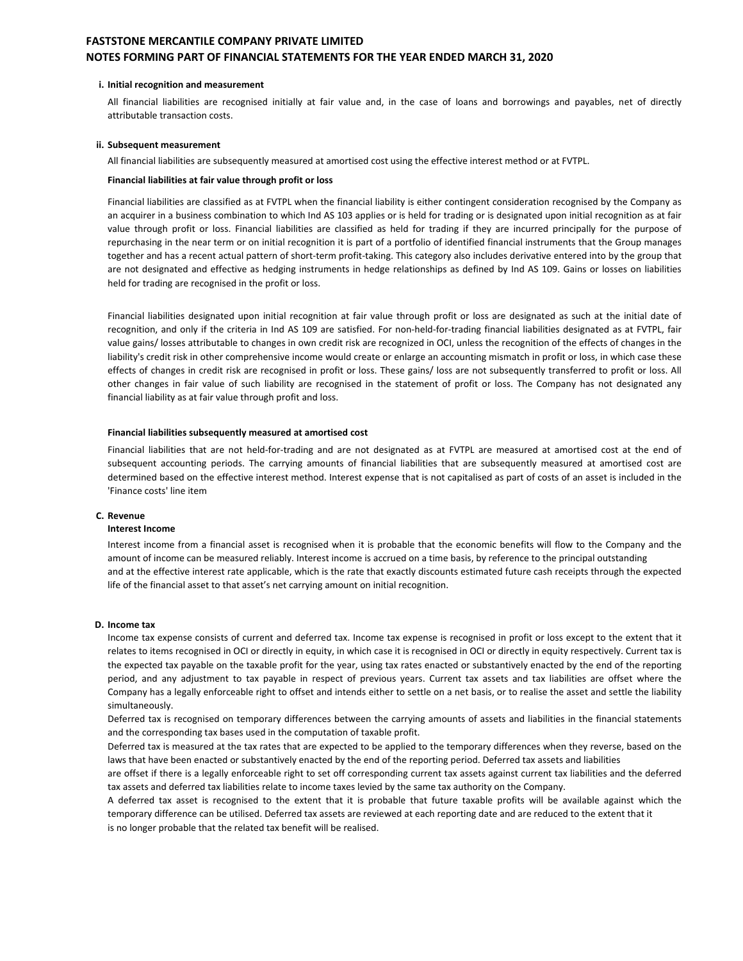#### i. Initial recognition and measurement

All financial liabilities are recognised initially at fair value and, in the case of loans and borrowings and payables, net of directly attributable transaction costs.

#### ii. Subsequent measurement

All financial liabilities are subsequently measured at amortised cost using the effective interest method or at FVTPL.

### Financial liabilities at fair value through profit or loss

Financial liabilities are classified as at FVTPL when the financial liability is either contingent consideration recognised by the Company as an acquirer in a business combination to which Ind AS 103 applies or is held for trading or is designated upon initial recognition as at fair value through profit or loss. Financial liabilities are classified as held for trading if they are incurred principally for the purpose of repurchasing in the near term or on initial recognition it is part of a portfolio of identified financial instruments that the Group manages together and has a recent actual pattern of short-term profit-taking. This category also includes derivative entered into by the group that are not designated and effective as hedging instruments in hedge relationships as defined by Ind AS 109. Gains or losses on liabilities held for trading are recognised in the profit or loss.

Financial liabilities designated upon initial recognition at fair value through profit or loss are designated as such at the initial date of recognition, and only if the criteria in Ind AS 109 are satisfied. For non-held-for-trading financial liabilities designated as at FVTPL, fair value gains/ losses attributable to changes in own credit risk are recognized in OCI, unless the recognition of the effects of changes in the liability's credit risk in other comprehensive income would create or enlarge an accounting mismatch in profit or loss, in which case these effects of changes in credit risk are recognised in profit or loss. These gains/ loss are not subsequently transferred to profit or loss. All other changes in fair value of such liability are recognised in the statement of profit or loss. The Company has not designated any financial liability as at fair value through profit and loss.

### Financial liabilities subsequently measured at amortised cost

Financial liabilities that are not held-for-trading and are not designated as at FVTPL are measured at amortised cost at the end of subsequent accounting periods. The carrying amounts of financial liabilities that are subsequently measured at amortised cost are determined based on the effective interest method. Interest expense that is not capitalised as part of costs of an asset is included in the 'Finance costs' line item

#### C. Revenue

### **Interest Income**

Interest income from a financial asset is recognised when it is probable that the economic benefits will flow to the Company and the amount of income can be measured reliably. Interest income is accrued on a time basis, by reference to the principal outstanding and at the effective interest rate applicable, which is the rate that exactly discounts estimated future cash receipts through the expected life of the financial asset to that asset's net carrying amount on initial recognition.

#### D. Income tax

Income tax expense consists of current and deferred tax. Income tax expense is recognised in profit or loss except to the extent that it relates to items recognised in OCI or directly in equity, in which case it is recognised in OCI or directly in equity respectively. Current tax is the expected tax payable on the taxable profit for the year, using tax rates enacted or substantively enacted by the end of the reporting period, and any adjustment to tax payable in respect of previous years. Current tax assets and tax liabilities are offset where the Company has a legally enforceable right to offset and intends either to settle on a net basis, or to realise the asset and settle the liability simultaneously.

Deferred tax is recognised on temporary differences between the carrying amounts of assets and liabilities in the financial statements and the corresponding tax bases used in the computation of taxable profit.

Deferred tax is measured at the tax rates that are expected to be applied to the temporary differences when they reverse, based on the laws that have been enacted or substantively enacted by the end of the reporting period. Deferred tax assets and liabilities

are offset if there is a legally enforceable right to set off corresponding current tax assets against current tax liabilities and the deferred tax assets and deferred tax liabilities relate to income taxes levied by the same tax authority on the Company.

A deferred tax asset is recognised to the extent that it is probable that future taxable profits will be available against which the temporary difference can be utilised. Deferred tax assets are reviewed at each reporting date and are reduced to the extent that it is no longer probable that the related tax benefit will be realised.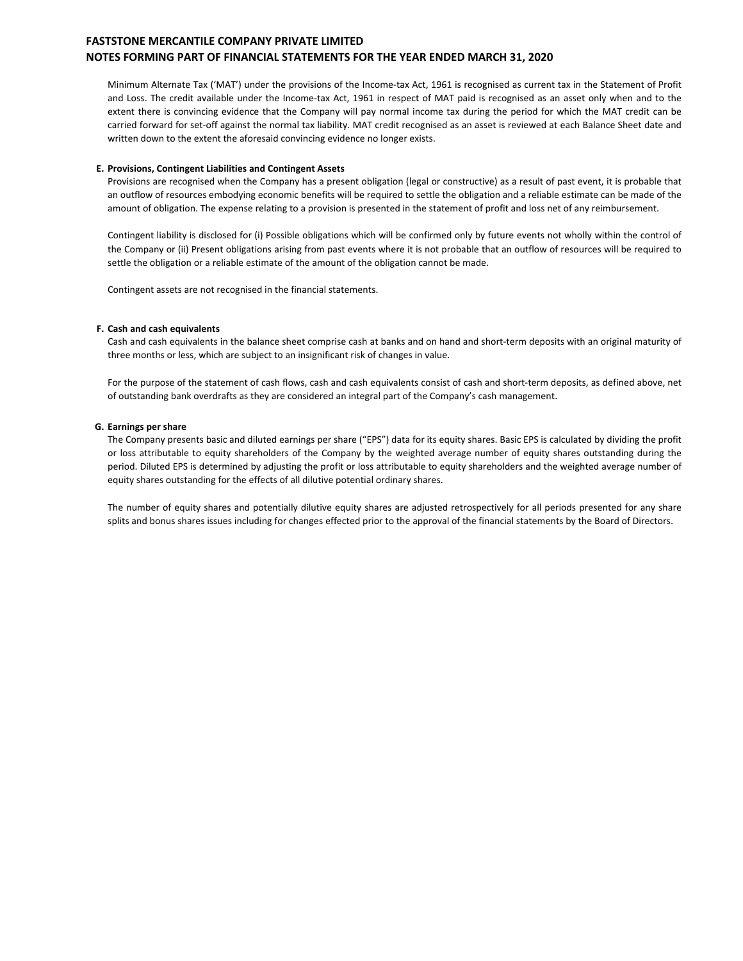Minimum Alternate Tax ('MAT') under the provisions of the Income-tax Act, 1961 is recognised as current tax in the Statement of Profit and Loss. The credit available under the Income-tax Act, 1961 in respect of MAT paid is recognised as an asset only when and to the extent there is convincing evidence that the Company will pay normal income tax during the period for which the MAT credit can be carried forward for set-off against the normal tax liability. MAT credit recognised as an asset is reviewed at each Balance Sheet date and written down to the extent the aforesaid convincing evidence no longer exists.

### E. Provisions, Contingent Liabilities and Contingent Assets

Provisions are recognised when the Company has a present obligation (legal or constructive) as a result of past event, it is probable that an outflow of resources embodying economic benefits will be required to settle the obligation and a reliable estimate can be made of the amount of obligation. The expense relating to a provision is presented in the statement of profit and loss net of any reimbursement.

Contingent liability is disclosed for (i) Possible obligations which will be confirmed only by future events not wholly within the control of the Company or (ii) Present obligations arising from past events where it is not probable that an outflow of resources will be required to settle the obligation or a reliable estimate of the amount of the obligation cannot be made.

Contingent assets are not recognised in the financial statements.

#### F. Cash and cash equivalents

Cash and cash equivalents in the balance sheet comprise cash at banks and on hand and short-term deposits with an original maturity of three months or less, which are subject to an insignificant risk of changes in value.

For the purpose of the statement of cash flows, cash and cash equivalents consist of cash and short-term deposits, as defined above, net of outstanding bank overdrafts as they are considered an integral part of the Company's cash management.

#### G. Earnings per share

The Company presents basic and diluted earnings per share ("EPS") data for its equity shares. Basic EPS is calculated by dividing the profit or loss attributable to equity shareholders of the Company by the weighted average number of equity shares outstanding during the period. Diluted EPS is determined by adjusting the profit or loss attributable to equity shareholders and the weighted average number of equity shares outstanding for the effects of all dilutive potential ordinary shares.

The number of equity shares and potentially dilutive equity shares are adjusted retrospectively for all periods presented for any share splits and bonus shares issues including for changes effected prior to the approval of the financial statements by the Board of Directors.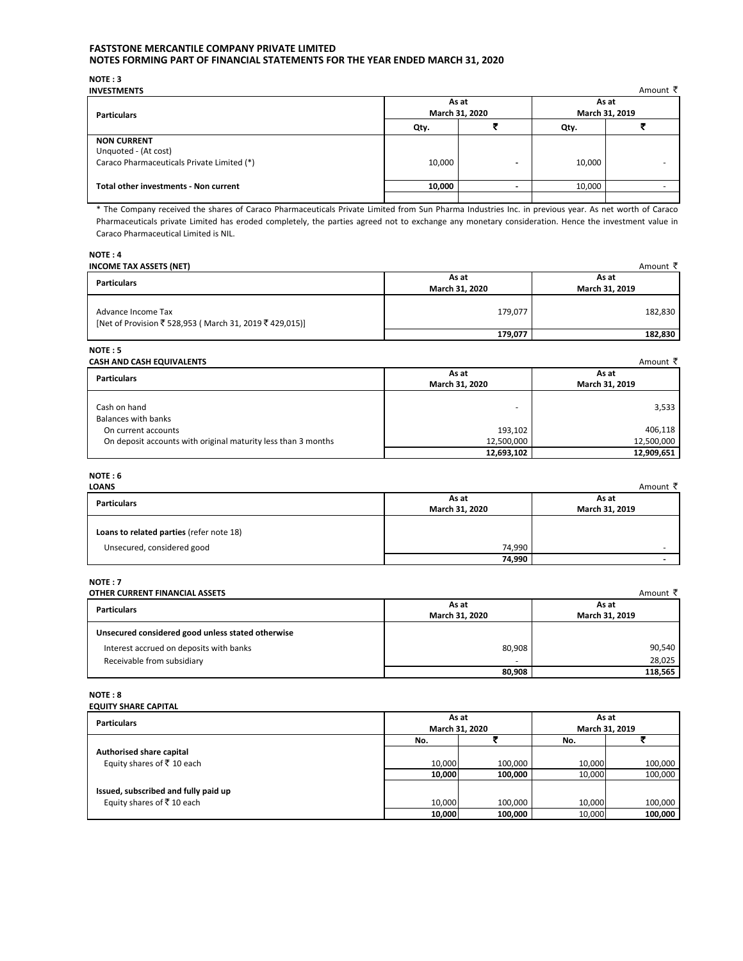NOTE: 3

| <b>INVESTMENTS</b>                           |        |                         |        | Amount ₹                |
|----------------------------------------------|--------|-------------------------|--------|-------------------------|
| <b>Particulars</b>                           |        | As at<br>March 31, 2020 |        | As at<br>March 31, 2019 |
|                                              | Qty.   |                         | Qty.   |                         |
| <b>NON CURRENT</b>                           |        |                         |        |                         |
| Unquoted - (At cost)                         |        |                         |        |                         |
| Caraco Pharmaceuticals Private Limited (*)   | 10,000 | -                       | 10,000 |                         |
| <b>Total other investments - Non current</b> | 10,000 | -                       | 10,000 |                         |
|                                              |        |                         |        |                         |

\* The Company received the shares of Caraco Pharmaceuticals Private Limited from Sun Pharma Industries Inc. in previous year. As net worth of Caraco Pharmaceuticals private Limited has eroded completely, the parties agreed not to exchange any monetary consideration. Hence the investment value in Caraco Pharmaceutical Limited is NIL.

#### **NOTE: 4** INCOME TAV ACCETS (NET)

| Amount ₹<br><b>INCOME TAX ASSETS (NET)</b>                                  |                         |                         |  |  |
|-----------------------------------------------------------------------------|-------------------------|-------------------------|--|--|
| <b>Particulars</b>                                                          | As at<br>March 31, 2020 | As at<br>March 31, 2019 |  |  |
| Advance Income Tax<br>[Net of Provision ₹528,953 (March 31, 2019 ₹429,015)] | 179,077                 | 182,830                 |  |  |
|                                                                             | 179,077                 | 182,830                 |  |  |

 $NOTE: 5$ 

#### CASH AND CASH EQUIVALENTS Amount ₹ As at As at **Particulars** March 31, 2020 March 31, 2019 Cash on hand 3,533 Balances with banks 193,102 406,118 On current accounts 12,500,000 On deposit accounts with original maturity less than 3 months 12,500,000 12,909,651 12,693,102

# $NOTE: 6$

| <b>LOANS</b>                             |                | Amount ₹       |
|------------------------------------------|----------------|----------------|
| <b>Particulars</b>                       | As at          | As at          |
|                                          | March 31, 2020 | March 31, 2019 |
|                                          |                |                |
| Loans to related parties (refer note 18) |                |                |
| Unsecured, considered good               | 74,990         |                |
|                                          | 74.990         |                |

NOTE: 7

# OTHER CURRENT FINANCIAL ASSETS

| Amount ₹<br>OTHER CURRENT FINANCIAL ASSETS        |                         |                         |  |  |
|---------------------------------------------------|-------------------------|-------------------------|--|--|
| <b>Particulars</b>                                | As at<br>March 31, 2020 | As at<br>March 31, 2019 |  |  |
| Unsecured considered good unless stated otherwise |                         |                         |  |  |
| Interest accrued on deposits with banks           | 80.908                  | 90,540                  |  |  |
| Receivable from subsidiary                        |                         | 28,025                  |  |  |
|                                                   | 80.908                  | 118.565                 |  |  |

 $NOTE: 8$ **EQUITY SHARE CAPITAL** 

| <b>Particulars</b>                   | As at<br>March 31, 2020<br>March 31, 2019 |         | As at  |         |
|--------------------------------------|-------------------------------------------|---------|--------|---------|
|                                      | No.                                       |         | No.    |         |
| Authorised share capital             |                                           |         |        |         |
| Equity shares of ₹10 each            | 10,000                                    | 100,000 | 10,000 | 100,000 |
|                                      | 10,000                                    | 100,000 | 10,000 | 100,000 |
| Issued, subscribed and fully paid up |                                           |         |        |         |
| Equity shares of ₹10 each            | 10,000                                    | 100,000 | 10,000 | 100,000 |
|                                      | 10,000                                    | 100,000 | 10,000 | 100.000 |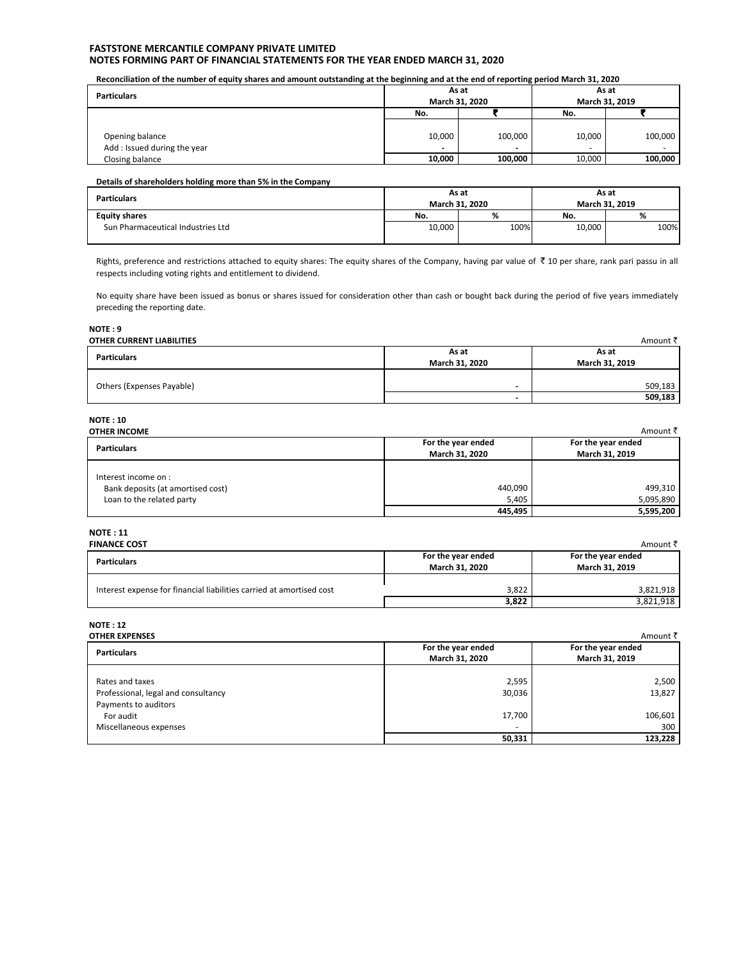# Reconciliation of the number of equity shares and amount outstanding at the beginning and at the end of reporting period March 31, 2020

| <b>Particulars</b>          | As at                    |                          | As at          |         |
|-----------------------------|--------------------------|--------------------------|----------------|---------|
|                             | March 31, 2020           |                          | March 31, 2019 |         |
|                             | No.                      |                          | No.            |         |
|                             |                          |                          |                |         |
| Opening balance             | 10,000                   | 100,000                  | 10,000         | 100,000 |
| Add: Issued during the year | $\overline{\phantom{a}}$ | $\overline{\phantom{a}}$ | $\sim$         |         |
| Closing balance             | 10,000                   | 100,000                  | 10,000         | 100,000 |

#### Details of shareholders holding more than 5% in the Company

| <b>Particulars</b>                | As at  | March 31, 2020 | As at<br>March 31, 2019 |      |
|-----------------------------------|--------|----------------|-------------------------|------|
| <b>Equity shares</b>              | No.    | %              | No.                     | %    |
| Sun Pharmaceutical Industries Ltd | 10,000 | 100%           | 10,000                  | 100% |

Rights, preference and restrictions attached to equity shares: The equity shares of the Company, having par value of ₹10 per share, rank pari passu in all respects including voting rights and entitlement to dividend.

No equity share have been issued as bonus or shares issued for consideration other than cash or bought back during the period of five years immediately preceding the reporting date.

# NOTE: 9

| OTHER CURRENT LIABILITIES |                | Amount ₹ै      |  |
|---------------------------|----------------|----------------|--|
| <b>Particulars</b>        | As at          | As at          |  |
|                           | March 31, 2020 | March 31, 2019 |  |
|                           |                |                |  |
| Others (Expenses Payable) | -              | 509,183        |  |
|                           | -              | 509,183        |  |

# **NOTE: 10**

| <b>OTHER INCOME</b>                                                                    |                             | Amount ₹                          |  |
|----------------------------------------------------------------------------------------|-----------------------------|-----------------------------------|--|
| <b>Particulars</b>                                                                     | For the year ended          | For the year ended                |  |
|                                                                                        | March 31, 2020              | March 31, 2019                    |  |
| Interest income on :<br>Bank deposits (at amortised cost)<br>Loan to the related party | 440,090<br>5,405<br>445.495 | 499,310<br>5,095,890<br>5.595.200 |  |

**NOTE: 11** 

| <b>FINANCE COST</b>                                                  |                    | Amount र           |  |
|----------------------------------------------------------------------|--------------------|--------------------|--|
| <b>Particulars</b>                                                   | For the year ended | For the year ended |  |
|                                                                      | March 31, 2020     | March 31, 2019     |  |
|                                                                      |                    |                    |  |
| Interest expense for financial liabilities carried at amortised cost | 3.822              | 3.821.918          |  |
|                                                                      | 3,822              | 3,821,918          |  |

# **NOTE: 12**

| <b>OTHER EXPENSES</b>               |                    | Amount र           |  |
|-------------------------------------|--------------------|--------------------|--|
| <b>Particulars</b>                  | For the year ended | For the year ended |  |
|                                     | March 31, 2020     | March 31, 2019     |  |
|                                     |                    |                    |  |
| Rates and taxes                     | 2,595              | 2,500              |  |
| Professional, legal and consultancy | 30,036             | 13,827             |  |
| Payments to auditors                |                    |                    |  |
| For audit                           | 17,700             | 106,601            |  |
| Miscellaneous expenses              |                    | 300                |  |
|                                     | 50,331             | 123,228            |  |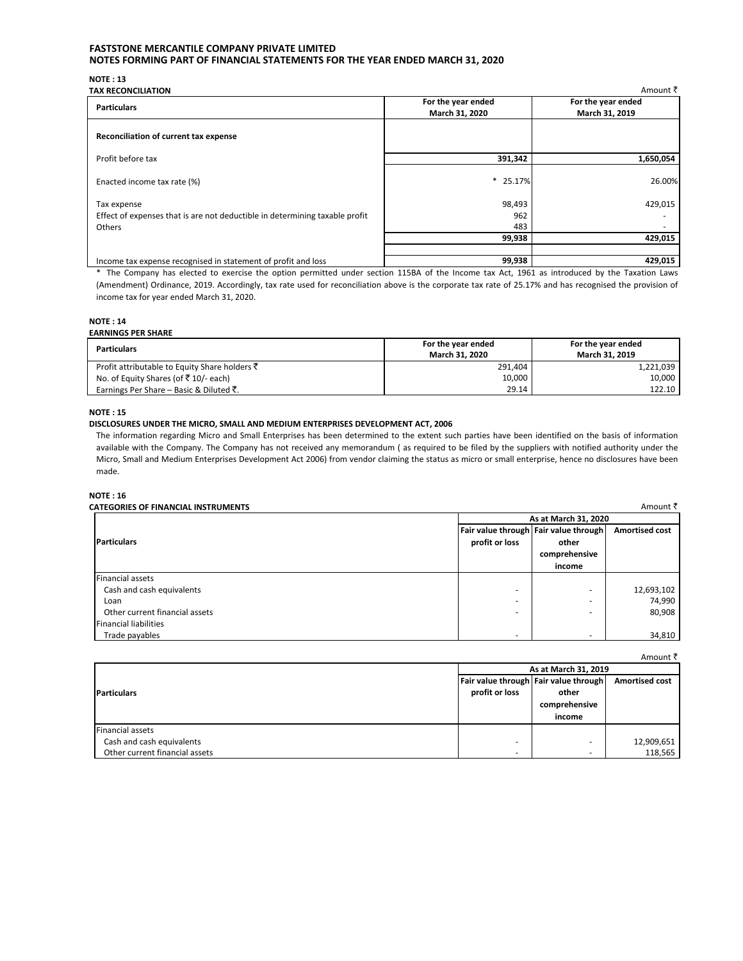# **NOTE: 13**

| TAX RECONCILIATION                                                                    |                                      | Amount र                             |  |
|---------------------------------------------------------------------------------------|--------------------------------------|--------------------------------------|--|
| <b>Particulars</b>                                                                    | For the year ended<br>March 31, 2020 | For the year ended<br>March 31, 2019 |  |
| Reconciliation of current tax expense                                                 |                                      |                                      |  |
| Profit before tax                                                                     | 391,342                              | 1,650,054                            |  |
| Enacted income tax rate (%)                                                           | * 25.17%                             | 26.00%                               |  |
| Tax expense                                                                           | 98,493                               | 429,015                              |  |
| Effect of expenses that is are not deductible in determining taxable profit<br>Others | 962<br>483                           |                                      |  |
|                                                                                       | 99,938                               | 429,015                              |  |
| Income tax expense recognised in statement of profit and loss                         | 99.938                               | 429.015                              |  |

\* The Company has elected to exercise the option permitted under section 115BA of the Income tax Act, 1961 as introduced by the Taxation Laws (Amendment) Ordinance, 2019. Accordingly, tax rate used for reconciliation above is the corporate tax rate of 25.17% and has recognised the provision of income tax for year ended March 31, 2020.

### **NOTE: 14**

### **EARNINGS PER SHARE**

| <b>Particulars</b>                                  | For the year ended<br>March 31, 2020 | For the year ended<br>March 31, 2019 |
|-----------------------------------------------------|--------------------------------------|--------------------------------------|
| Profit attributable to Equity Share holders ₹       | 291,404                              | 1,221,039                            |
| No. of Equity Shares (of ₹10/- each)                | 10,000                               | 10,000                               |
| Earnings Per Share – Basic & Diluted $\bar{\tau}$ . | 29.14                                | 122.10                               |

### **NOTE: 15**

### DISCLOSURES UNDER THE MICRO, SMALL AND MEDIUM ENTERPRISES DEVELOPMENT ACT, 2006

The information regarding Micro and Small Enterprises has been determined to the extent such parties have been identified on the basis of information available with the Company. The Company has not received any memorandum (as required to be filed by the suppliers with notified authority under the Micro, Small and Medium Enterprises Development Act 2006) from vendor claiming the status as micro or small enterprise, hence no disclosures have been made.

#### **NOTE: 16**

| <b>CATEGORIES OF FINANCIAL INSTRUMENTS</b> |                      |                                       | Amount ₹              |
|--------------------------------------------|----------------------|---------------------------------------|-----------------------|
|                                            | As at March 31, 2020 |                                       |                       |
|                                            |                      | Fair value through Fair value through | <b>Amortised cost</b> |
| <b>Particulars</b>                         | profit or loss       | other                                 |                       |
|                                            |                      | comprehensive                         |                       |
|                                            |                      | income                                |                       |
| <b>Financial assets</b>                    |                      |                                       |                       |
| Cash and cash equivalents                  | ۰                    | ۰                                     | 12,693,102            |
| Loan                                       | ٠                    | ۰                                     | 74,990                |
| Other current financial assets             | ٠                    | ۰                                     | 80,908                |
| <b>Financial liabilities</b>               |                      |                                       |                       |
| Trade payables                             | ۰                    | ۰                                     | 34,810                |

|                                | Amount ₹                                                       |
|--------------------------------|----------------------------------------------------------------|
|                                | As at March 31, 2019                                           |
|                                | Fair value through Fair value through<br><b>Amortised cost</b> |
| <b>Particulars</b>             | profit or loss<br>other                                        |
|                                | comprehensive                                                  |
|                                | income                                                         |
| <b>Financial assets</b>        |                                                                |
| Cash and cash equivalents      | 12,909,651<br>۰                                                |
| Other current financial assets | 118,565                                                        |
|                                |                                                                |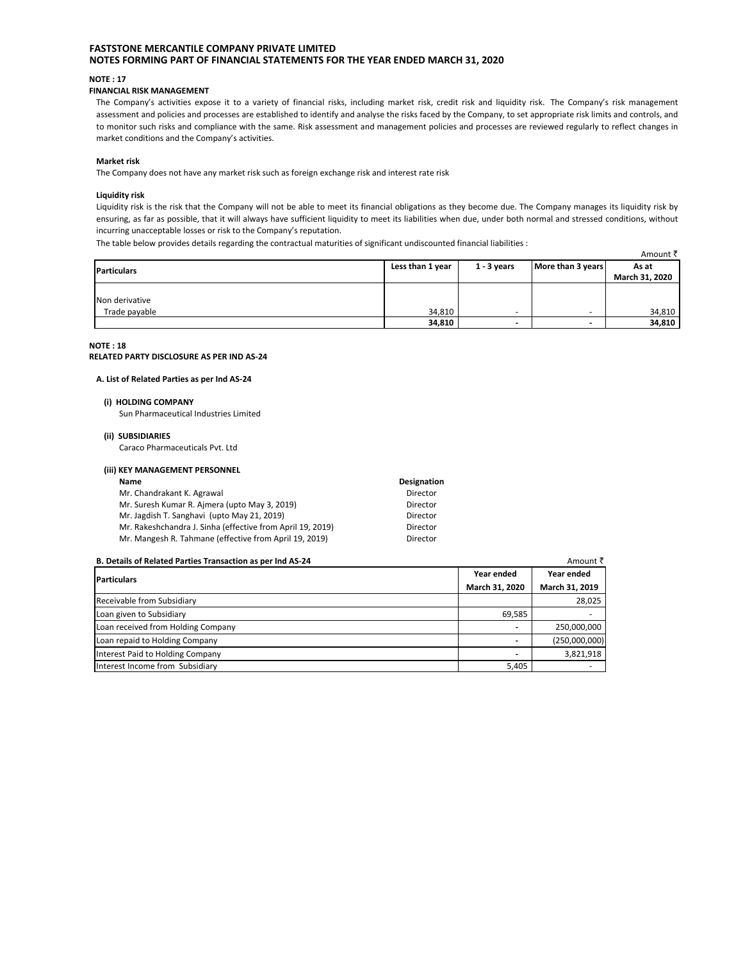#### $NOTF \cdot 17$

# **FINANCIAL RISK MANAGEMENT**

The Company's activities expose it to a variety of financial risks, including market risk, credit risk and liquidity risk. The Company's risk management assessment and policies and processes are established to identify and analyse the risks faced by the Company, to set appropriate risk limits and controls, and to monitor such risks and compliance with the same. Risk assessment and management policies and processes are reviewed regularly to reflect changes in market conditions and the Company's activities.

#### **Market risk**

The Company does not have any market risk such as foreign exchange risk and interest rate risk

#### **Liquidity risk**

Liquidity risk is the risk that the Company will not be able to meet its financial obligations as they become due. The Company manages its liquidity risk by ensuring, as far as possible, that it will always have sufficient liquidity to meet its liabilities when due, under both normal and stressed conditions, without incurring unacceptable losses or risk to the Company's reputation.

 $\overline{1}$ 

Amount ₹

The table below provides details regarding the contractual maturities of significant undiscounted financial liabilities :

|                    |                  |               |                   | Amount s       |
|--------------------|------------------|---------------|-------------------|----------------|
| <b>Particulars</b> | Less than 1 year | $1 - 3$ years | More than 3 years | As at          |
|                    |                  |               |                   | March 31, 2020 |
|                    |                  |               |                   |                |
| Non derivative     |                  |               |                   |                |
| Trade payable      | 34,810           |               |                   | 34,810         |
|                    | 34,810           | -             | -                 | 34,810         |

#### **NOTE: 18**

#### RELATED PARTY DISCLOSURE AS PER IND AS-24

#### A. List of Related Parties as per Ind AS-24

#### (i) HOLDING COMPANY

Sun Pharmaceutical Industries Limited

# (ii) SUBSIDIARIES

Caraco Pharmaceuticals Pvt. Ltd

#### (iii) KEY MANAGEMENT PERSONNEL

| Name                                                       | Designation |
|------------------------------------------------------------|-------------|
| Mr. Chandrakant K. Agrawal                                 | Director    |
| Mr. Suresh Kumar R. Ajmera (upto May 3, 2019)              | Director    |
| Mr. Jagdish T. Sanghavi (upto May 21, 2019)                | Director    |
| Mr. Rakeshchandra J. Sinha (effective from April 19, 2019) | Director    |
| Mr. Mangesh R. Tahmane (effective from April 19, 2019)     | Director    |

#### B. Details of Related Parties Transaction as per Ind AS-24

| <b>Particulars</b>                 | Year ended     | Year ended     |
|------------------------------------|----------------|----------------|
|                                    | March 31, 2020 | March 31, 2019 |
| Receivable from Subsidiary         |                | 28,025         |
| Loan given to Subsidiary           | 69,585         |                |
| Loan received from Holding Company |                | 250,000,000    |
| Loan repaid to Holding Company     |                | (250,000,000)  |
| Interest Paid to Holding Company   |                | 3,821,918      |
| Interest Income from Subsidiary    | 5,405          |                |